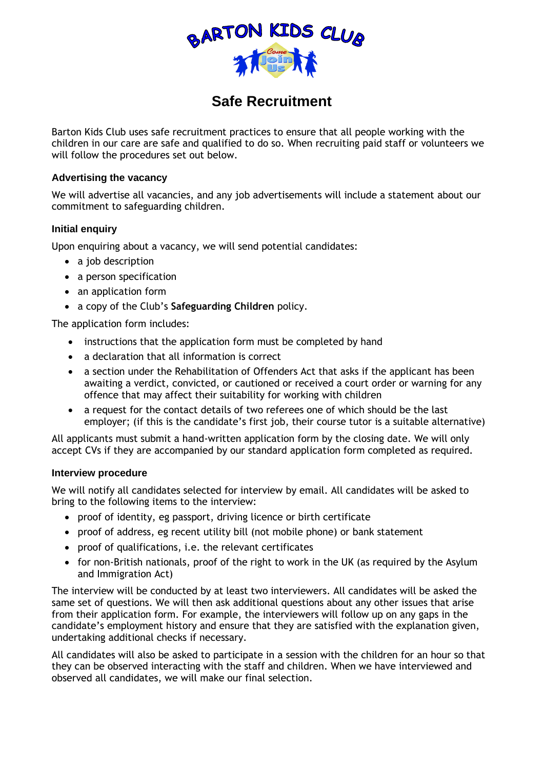

# **Safe Recruitment**

Barton Kids Club uses safe recruitment practices to ensure that all people working with the children in our care are safe and qualified to do so. When recruiting paid staff or volunteers we will follow the procedures set out below.

### **Advertising the vacancy**

We will advertise all vacancies, and any job advertisements will include a statement about our commitment to safeguarding children.

## **Initial enquiry**

Upon enquiring about a vacancy, we will send potential candidates:

- a job description
- a person specification
- an application form
- a copy of the Club's **Safeguarding Children** policy.

The application form includes:

- instructions that the application form must be completed by hand
- a declaration that all information is correct
- a section under the Rehabilitation of Offenders Act that asks if the applicant has been awaiting a verdict, convicted, or cautioned or received a court order or warning for any offence that may affect their suitability for working with children
- a request for the contact details of two referees one of which should be the last employer; (if this is the candidate's first job, their course tutor is a suitable alternative)

All applicants must submit a hand-written application form by the closing date. We will only accept CVs if they are accompanied by our standard application form completed as required.

### **Interview procedure**

We will notify all candidates selected for interview by email. All candidates will be asked to bring to the following items to the interview:

- proof of identity, eg passport, driving licence or birth certificate
- proof of address, eg recent utility bill (not mobile phone) or bank statement
- proof of qualifications, i.e. the relevant certificates
- for non-British nationals, proof of the right to work in the UK (as required by the Asylum and Immigration Act)

The interview will be conducted by at least two interviewers. All candidates will be asked the same set of questions. We will then ask additional questions about any other issues that arise from their application form. For example, the interviewers will follow up on any gaps in the candidate's employment history and ensure that they are satisfied with the explanation given, undertaking additional checks if necessary.

All candidates will also be asked to participate in a session with the children for an hour so that they can be observed interacting with the staff and children. When we have interviewed and observed all candidates, we will make our final selection.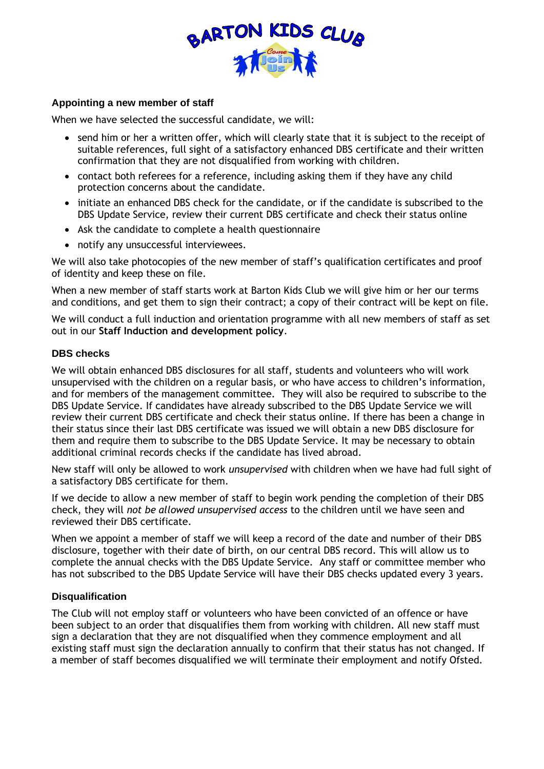

#### **Appointing a new member of staff**

When we have selected the successful candidate, we will:

- send him or her a written offer, which will clearly state that it is subject to the receipt of suitable references, full sight of a satisfactory enhanced DBS certificate and their written confirmation that they are not disqualified from working with children.
- contact both referees for a reference, including asking them if they have any child protection concerns about the candidate.
- initiate an enhanced DBS check for the candidate, or if the candidate is subscribed to the DBS Update Service, review their current DBS certificate and check their status online
- Ask the candidate to complete a health questionnaire
- notify any unsuccessful interviewees.

We will also take photocopies of the new member of staff's qualification certificates and proof of identity and keep these on file.

When a new member of staff starts work at Barton Kids Club we will give him or her our terms and conditions, and get them to sign their contract; a copy of their contract will be kept on file.

We will conduct a full induction and orientation programme with all new members of staff as set out in our **Staff Induction and development policy**.

### **DBS checks**

We will obtain enhanced DBS disclosures for all staff, students and volunteers who will work unsupervised with the children on a regular basis, or who have access to children's information, and for members of the management committee. They will also be required to subscribe to the DBS Update Service. If candidates have already subscribed to the DBS Update Service we will review their current DBS certificate and check their status online. If there has been a change in their status since their last DBS certificate was issued we will obtain a new DBS disclosure for them and require them to subscribe to the DBS Update Service. It may be necessary to obtain additional criminal records checks if the candidate has lived abroad.

New staff will only be allowed to work *unsupervised* with children when we have had full sight of a satisfactory DBS certificate for them.

If we decide to allow a new member of staff to begin work pending the completion of their DBS check, they will *not be allowed unsupervised access* to the children until we have seen and reviewed their DBS certificate.

When we appoint a member of staff we will keep a record of the date and number of their DBS disclosure, together with their date of birth, on our central DBS record. This will allow us to complete the annual checks with the DBS Update Service. Any staff or committee member who has not subscribed to the DBS Update Service will have their DBS checks updated every 3 years.

### **Disqualification**

The Club will not employ staff or volunteers who have been convicted of an offence or have been subject to an order that disqualifies them from working with children. All new staff must sign a declaration that they are not disqualified when they commence employment and all existing staff must sign the declaration annually to confirm that their status has not changed. If a member of staff becomes disqualified we will terminate their employment and notify Ofsted.